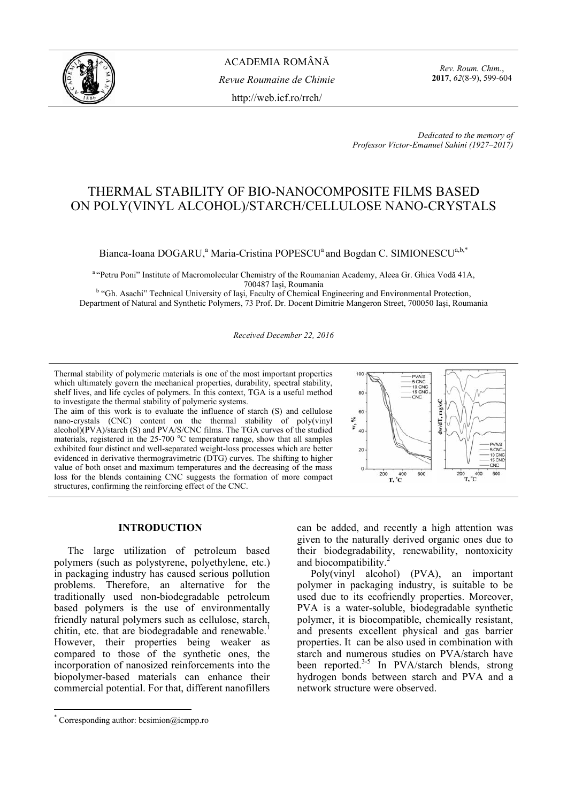

*Rev. Roum. Chim.*, **2017**, *62*(8-9), 599-604

 *Dedicated to the memory of Professor Victor-Emanuel Sahini (1927–2017)* 

# THERMAL STABILITY OF BIO-NANOCOMPOSITE FILMS BASED ON POLY(VINYL ALCOHOL)/STARCH/CELLULOSE NANO-CRYSTALS

# Bianca-Ioana DOGARU,<sup>a</sup> Maria-Cristina POPESCU<sup>a</sup> and Bogdan C. SIMIONESCU<sup>a,b,\*</sup>

<sup>a "</sup>Petru Poni" Institute of Macromolecular Chemistry of the Roumanian Academy, Aleea Gr. Ghica Vodă 41A,<br>700487 Iași, Roumania

700487 Iași, Roumania<br><sup>b</sup> "Gh. Asachi" Technical University of Iași, Faculty of Chemical Engineering and Environmental Protection, Department of Natural and Synthetic Polymers, 73 Prof. Dr. Docent Dimitrie Mangeron Street, 700050 Iaşi, Roumania

*Received December 22, 2016*

Thermal stability of polymeric materials is one of the most important properties which ultimately govern the mechanical properties, durability, spectral stability, shelf lives, and life cycles of polymers. In this context, TGA is a useful method to investigate the thermal stability of polymeric systems.

The aim of this work is to evaluate the influence of starch (S) and cellulose nano-crystals (CNC) content on the thermal stability of poly(vinyl alcohol)(PVA)/starch (S) and PVA/S/CNC films. The TGA curves of the studied materials, registered in the 25-700 °C temperature range, show that all samples exhibited four distinct and well-separated weight-loss processes which are better evidenced in derivative thermogravimetric (DTG) curves. The shifting to higher value of both onset and maximum temperatures and the decreasing of the mass loss for the blends containing CNC suggests the formation of more compact structures, confirming the reinforcing effect of the CNC.



# **INTRODUCTION\***

The large utilization of petroleum based polymers (such as polystyrene, polyethylene, etc.) in packaging industry has caused serious pollution problems. Therefore, an alternative for the traditionally used non-biodegradable petroleum based polymers is the use of environmentally friendly natural polymers such as cellulose, starch, chitin, etc. that are biodegradable and renewable.<sup>1</sup> However, their properties being weaker as compared to those of the synthetic ones, the incorporation of nanosized reinforcements into the biopolymer-based materials can enhance their commercial potential. For that, different nanofillers

 $\overline{a}$ 

can be added, and recently a high attention was given to the naturally derived organic ones due to their biodegradability, renewability, nontoxicity and biocompatibility.<sup>2</sup>

Poly(vinyl alcohol) (PVA), an important polymer in packaging industry, is suitable to be used due to its ecofriendly properties. Moreover, PVA is a water-soluble, biodegradable synthetic polymer, it is biocompatible, chemically resistant, and presents excellent physical and gas barrier properties. It can be also used in combination with starch and numerous studies on PVA/starch have been reported.<sup>3-5</sup> In PVA/starch blends, strong hydrogen bonds between starch and PVA and a network structure were observed.

<sup>\*</sup> Corresponding author: bcsimion@icmpp.ro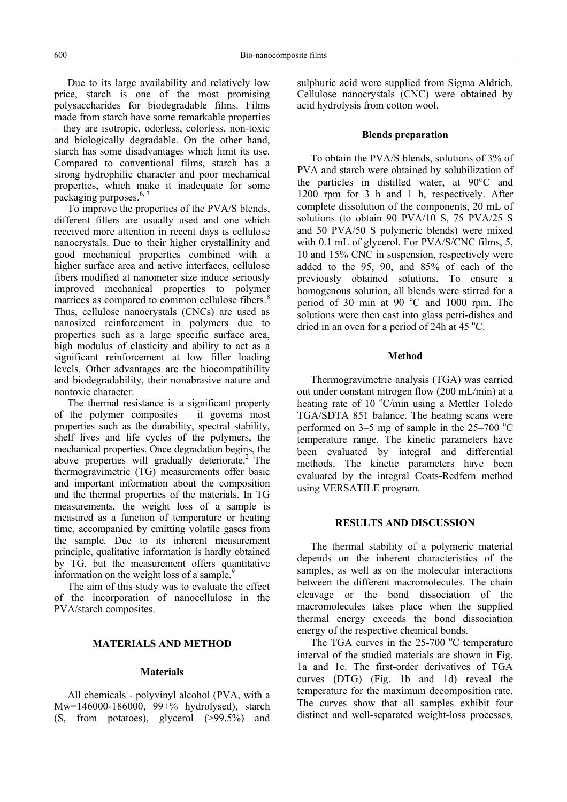Due to its large availability and relatively low price, starch is one of the most promising polysaccharides for biodegradable films. Films made from starch have some remarkable properties – they are isotropic, odorless, colorless, non-toxic and biologically degradable. On the other hand, starch has some disadvantages which limit its use. Compared to conventional films, starch has a strong hydrophilic character and poor mechanical properties, which make it inadequate for some packaging purposes.<sup>6, 7</sup>

To improve the properties of the PVA/S blends, different fillers are usually used and one which received more attention in recent days is cellulose nanocrystals. Due to their higher crystallinity and good mechanical properties combined with a higher surface area and active interfaces, cellulose fibers modified at nanometer size induce seriously improved mechanical properties to polymer matrices as compared to common cellulose fibers.<sup>8</sup> Thus, cellulose nanocrystals (CNCs) are used as nanosized reinforcement in polymers due to properties such as a large specific surface area, high modulus of elasticity and ability to act as a significant reinforcement at low filler loading levels. Other advantages are the biocompatibility and biodegradability, their nonabrasive nature and nontoxic character.

The thermal resistance is a significant property of the polymer composites – it governs most properties such as the durability, spectral stability, shelf lives and life cycles of the polymers, the mechanical properties. Once degradation begins, the above properties will gradually deteriorate.<sup>2</sup> The thermogravimetric (TG) measurements offer basic and important information about the composition and the thermal properties of the materials. In TG measurements, the weight loss of a sample is measured as a function of temperature or heating time, accompanied by emitting volatile gases from the sample. Due to its inherent measurement principle, qualitative information is hardly obtained by TG, but the measurement offers quantitative information on the weight loss of a sample. $\frac{9}{2}$ 

The aim of this study was to evaluate the effect of the incorporation of nanocellulose in the PVA/starch composites.

## **MATERIALS AND METHOD**

## **Materials**

All chemicals - polyvinyl alcohol (PVA, with a Mw=146000-186000, 99+% hydrolysed), starch (S, from potatoes), glycerol (>99.5%) and sulphuric acid were supplied from Sigma Aldrich. Cellulose nanocrystals (CNC) were obtained by acid hydrolysis from cotton wool.

#### **Blends preparation**

To obtain the PVA/S blends, solutions of 3% of PVA and starch were obtained by solubilization of the particles in distilled water, at 90°C and 1200 rpm for 3 h and 1 h, respectively. After complete dissolution of the components, 20 mL of solutions (to obtain 90 PVA/10 S, 75 PVA/25 S and 50 PVA/50 S polymeric blends) were mixed with 0.1 mL of glycerol. For PVA/S/CNC films, 5, 10 and 15% CNC in suspension, respectively were added to the 95, 90, and 85% of each of the previously obtained solutions. To ensure a homogenous solution, all blends were stirred for a period of 30 min at 90 °C and 1000 rpm. The solutions were then cast into glass petri-dishes and dried in an oven for a period of 24h at 45  $^{\circ}$ C.

#### **Method**

Thermogravimetric analysis (TGA) was carried out under constant nitrogen flow (200 mL/min) at a heating rate of 10 °C/min using a Mettler Toledo TGA/SDTA 851 balance. The heating scans were performed on  $3-5$  mg of sample in the  $25-700$  °C temperature range. The kinetic parameters have been evaluated by integral and differential methods. The kinetic parameters have been evaluated by the integral Coats-Redfern method using VERSATILE program.

#### **RESULTS AND DISCUSSION**

The thermal stability of a polymeric material depends on the inherent characteristics of the samples, as well as on the molecular interactions between the different macromolecules. The chain cleavage or the bond dissociation of the macromolecules takes place when the supplied thermal energy exceeds the bond dissociation energy of the respective chemical bonds.

The TGA curves in the  $25-700$  °C temperature interval of the studied materials are shown in Fig. 1a and 1c. The first-order derivatives of TGA curves (DTG) (Fig. 1b and 1d) reveal the temperature for the maximum decomposition rate. The curves show that all samples exhibit four distinct and well-separated weight-loss processes,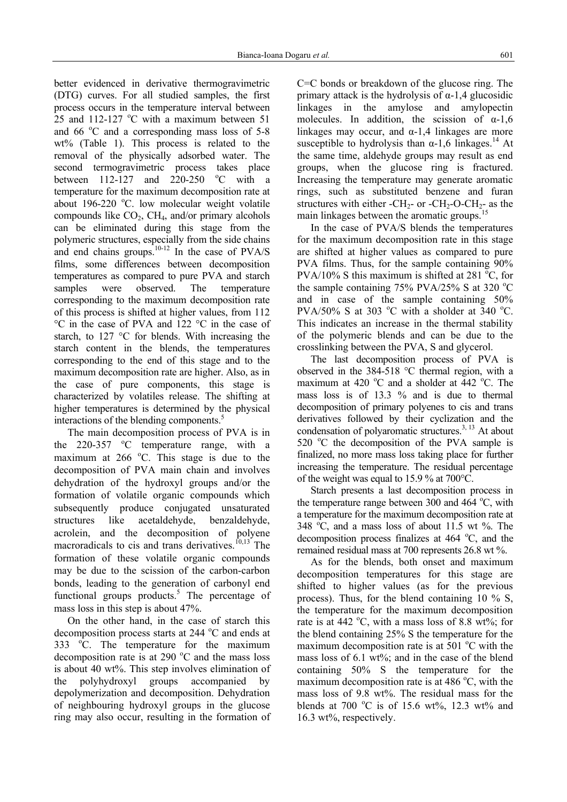better evidenced in derivative thermogravimetric (DTG) curves. For all studied samples, the first process occurs in the temperature interval between  $25$  and 112-127 °C with a maximum between 51 and  $66^{\circ}$ C and a corresponding mass loss of 5-8 wt% (Table 1). This process is related to the removal of the physically adsorbed water. The second termogravimetric process takes place between  $112 - 127$  and  $220 - 250$ <sup>o</sup>C with a temperature for the maximum decomposition rate at about 196-220 °C. low molecular weight volatile compounds like  $CO<sub>2</sub>$ , CH<sub>4</sub>, and/or primary alcohols can be eliminated during this stage from the polymeric structures, especially from the side chains and end chains groups. $10^{-12}$  In the case of PVA/S films, some differences between decomposition temperatures as compared to pure PVA and starch samples were observed. The temperature corresponding to the maximum decomposition rate of this process is shifted at higher values, from 112 °C in the case of PVA and 122 °C in the case of starch, to 127 °C for blends. With increasing the starch content in the blends, the temperatures corresponding to the end of this stage and to the maximum decomposition rate are higher. Also, as in the case of pure components, this stage is characterized by volatiles release. The shifting at higher temperatures is determined by the physical interactions of the blending components.<sup>5</sup>

The main decomposition process of PVA is in the  $220-357$  °C temperature range, with a maximum at 266  $^{\circ}$ C. This stage is due to the decomposition of PVA main chain and involves dehydration of the hydroxyl groups and/or the formation of volatile organic compounds which subsequently produce conjugated unsaturated structures like acetaldehyde, benzaldehyde, acrolein, and the decomposition of polyene macroradicals to cis and trans derivatives.<sup> $10,13$ </sup> The formation of these volatile organic compounds may be due to the scission of the carbon-carbon bonds, leading to the generation of carbonyl end functional groups products.<sup>5</sup> The percentage of mass loss in this step is about 47%.

On the other hand, in the case of starch this decomposition process starts at  $244^{\circ}$ C and ends at  $333$   $^{\circ}$ C. The temperature for the maximum decomposition rate is at 290  $^{\circ}$ C and the mass loss is about 40 wt%. This step involves elimination of the polyhydroxyl groups accompanied by depolymerization and decomposition. Dehydration of neighbouring hydroxyl groups in the glucose ring may also occur, resulting in the formation of

C=C bonds or breakdown of the glucose ring. The primary attack is the hydrolysis of  $\alpha$ -1,4 glucosidic linkages in the amylose and amylopectin molecules. In addition, the scission of  $\alpha$ -1,6 linkages may occur, and  $\alpha$ -1,4 linkages are more susceptible to hydrolysis than  $\alpha$ -1,6 linkages.<sup>14</sup> At the same time, aldehyde groups may result as end groups, when the glucose ring is fractured. Increasing the temperature may generate aromatic rings, such as substituted benzene and furan structures with either -CH<sub>2</sub>- or -CH<sub>2</sub>-O-CH<sub>2</sub>- as the main linkages between the aromatic groups.<sup>15</sup>

In the case of PVA/S blends the temperatures for the maximum decomposition rate in this stage are shifted at higher values as compared to pure PVA films. Thus, for the sample containing 90% PVA/10% S this maximum is shifted at 281  $^{\circ}$ C, for the sample containing  $75\%$  PVA/25% S at 320 °C and in case of the sample containing 50% PVA/50% S at 303  $^{\circ}$ C with a sholder at 340  $^{\circ}$ C. This indicates an increase in the thermal stability of the polymeric blends and can be due to the crosslinking between the PVA, S and glycerol.

The last decomposition process of PVA is observed in the 384-518 °C thermal region, with a maximum at 420  $^{\circ}$ C and a sholder at 442  $^{\circ}$ C. The mass loss is of 13.3 % and is due to thermal decomposition of primary polyenes to cis and trans derivatives followed by their cyclization and the condensation of polyaromatic structures.<sup>3, 13</sup> At about 520 °C the decomposition of the PVA sample is finalized, no more mass loss taking place for further increasing the temperature. The residual percentage of the weight was equal to 15.9 % at 700°C.

Starch presents a last decomposition process in the temperature range between  $300$  and  $464$  °C, with a temperature for the maximum decomposition rate at 348  $\degree$ C, and a mass loss of about 11.5 wt %. The decomposition process finalizes at 464 °C, and the remained residual mass at 700 represents 26.8 wt %.

As for the blends, both onset and maximum decomposition temperatures for this stage are shifted to higher values (as for the previous process). Thus, for the blend containing 10 % S, the temperature for the maximum decomposition rate is at 442  $^{\circ}$ C, with a mass loss of 8.8 wt%; for the blend containing 25% S the temperature for the maximum decomposition rate is at  $501^{\circ}$ C with the mass loss of 6.1 wt%; and in the case of the blend containing 50% S the temperature for the maximum decomposition rate is at 486  $^{\circ}$ C, with the mass loss of 9.8 wt%. The residual mass for the blends at 700 °C is of 15.6 wt%, 12.3 wt% and 16.3 wt%, respectively.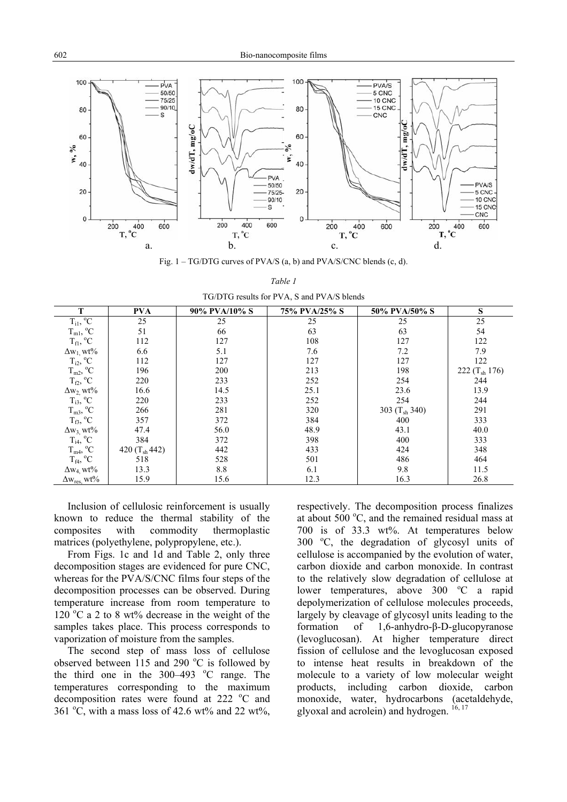

Fig. 1 – TG/DTG curves of PVA/S (a, b) and PVA/S/CNC blends (c, d).

| $1.97$ D TO TO DOMESS TOT TIME, D WITH THE TIME OPENING |                   |               |               |                    |                    |  |  |  |  |
|---------------------------------------------------------|-------------------|---------------|---------------|--------------------|--------------------|--|--|--|--|
| т                                                       | <b>PVA</b>        | 90% PVA/10% S | 75% PVA/25% S | 50% PVA/50% S      | S                  |  |  |  |  |
| $T_{i1}$ , <sup>o</sup> C                               | 25                | 25            | 25            | 25                 | 25                 |  |  |  |  |
| $T_{m1}$ , <sup>o</sup> C                               | 51                | 66            | 63            | 63                 | 54                 |  |  |  |  |
| $T_{\rm fl}$ , $^{\circ}C$                              | 112               | 127           | 108           | 127                | 122                |  |  |  |  |
| $\Delta w_1$ , wt%                                      | 6.6               | 5.1           | 7.6           | 7.2                | 7.9                |  |  |  |  |
| $T_{i2}$ , <sup>o</sup> C                               | 112               | 127           | 127           | 127                | 122                |  |  |  |  |
| $T_{m2}$ , $^{\circ}C$                                  | 196               | 200           | 213           | 198                | 222 $(T_{sh} 176)$ |  |  |  |  |
| $T_{f2}$ , °C                                           | 220               | 233           | 252           | 254                | 244                |  |  |  |  |
| $\Delta w_2$ , wt%                                      | 16.6              | 14.5          | 25.1          | 23.6               | 13.9               |  |  |  |  |
| $T_{i3}$ , <sup>o</sup> C                               | 220               | 233           | 252           | 254                | 244                |  |  |  |  |
| $T_{m3}$ , <sup>o</sup> C                               | 266               | 281           | 320           | 303 $(T_{sh} 340)$ | 291                |  |  |  |  |
| $T_{f3}$ , $^{\circ}C$                                  | 357               | 372           | 384           | 400                | 333                |  |  |  |  |
| $\Delta w_3$ , wt%                                      | 47.4              | 56.0          | 48.9          | 43.1               | 40.0               |  |  |  |  |
| $T_{i4}$ , <sup>o</sup> C                               | 384               | 372           | 398           | 400                | 333                |  |  |  |  |
| $T_{m4}$ , <sup>o</sup> C                               | 420 $(T_{sh}442)$ | 442           | 433           | 424                | 348                |  |  |  |  |
| $T_{f4}$ , <sup>o</sup> C                               | 518               | 528           | 501           | 486                | 464                |  |  |  |  |
| $\Delta w_{4}$ , wt%                                    | 13.3              | 8.8           | 6.1           | 9.8                | 11.5               |  |  |  |  |
| $\Delta w_{res}$ , wt%                                  | 15.9              | 15.6          | 12.3          | 16.3               | 26.8               |  |  |  |  |

*Table 1* TG/DTG results for PVA, S and PVA/S blends

Inclusion of cellulosic reinforcement is usually known to reduce the thermal stability of the composites with commodity thermoplastic matrices (polyethylene, polypropylene, etc.).

From Figs. 1c and 1d and Table 2, only three decomposition stages are evidenced for pure CNC, whereas for the PVA/S/CNC films four steps of the decomposition processes can be observed. During temperature increase from room temperature to  $120^{\circ}$ C a 2 to 8 wt% decrease in the weight of the samples takes place. This process corresponds to vaporization of moisture from the samples.

The second step of mass loss of cellulose observed between  $115$  and 290 °C is followed by the third one in the  $300-493$  °C range. The temperatures corresponding to the maximum decomposition rates were found at 222 °C and 361 °C, with a mass loss of 42.6 wt% and 22 wt%, respectively. The decomposition process finalizes at about  $500^{\circ}$ C, and the remained residual mass at 700 is of 33.3 wt%. At temperatures below 300 °C, the degradation of glycosyl units of cellulose is accompanied by the evolution of water, carbon dioxide and carbon monoxide. In contrast to the relatively slow degradation of cellulose at lower temperatures, above 300 °C a rapid depolymerization of cellulose molecules proceeds, largely by cleavage of glycosyl units leading to the formation of 1,6-anhydro-β-D-glucopyranose (levoglucosan). At higher temperature direct fission of cellulose and the levoglucosan exposed to intense heat results in breakdown of the molecule to a variety of low molecular weight products, including carbon dioxide, carbon monoxide, water, hydrocarbons (acetaldehyde, glyoxal and acrolein) and hydrogen.  $16, 17$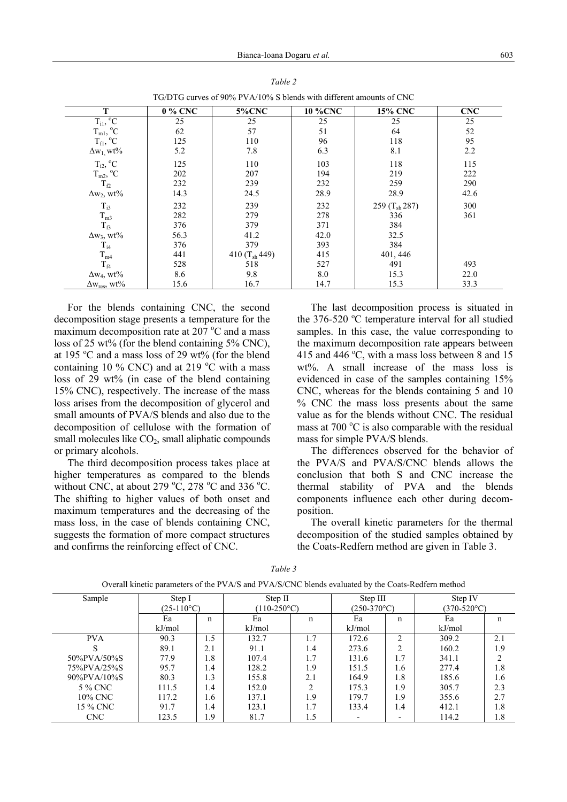| T                                                                                            | 0 % CNC | <b>5%CNC</b>      | <b>10 %CNC</b> | <b>15% CNC</b>            | <b>CNC</b> |
|----------------------------------------------------------------------------------------------|---------|-------------------|----------------|---------------------------|------------|
| $T_{i1}$ $^{\rm o}\!C$                                                                       | 25      | 25                | 25             | 25                        | 25         |
| $T_{m1}$ , $^{\circ}C$                                                                       | 62      | 57                | 51             | 64                        | 52         |
| $T_{\rm fl}$ , $^{\circ}C$                                                                   | 125     | 110               | 96             | 118                       | 95         |
| $\Delta w_1$ , wt%                                                                           | 5.2     | 7.8               | 6.3            | 8.1                       | 2.2        |
| $T_{i2}$ , <sup>o</sup> C                                                                    | 125     | 110               | 103            | 118                       | 115        |
| $\mathrm{T_{m2}^{\phantom{m2},\phantom{m2}^{\phantom{2}}}}_{T_{f2}^{\phantom{2}}}\mathrm{C}$ | 202     | 207               | 194            | 219                       | 222        |
|                                                                                              | 232     | 239               | 232            | 259                       | 290        |
| $\Delta w_2$ , wt%                                                                           | 14.3    | 24.5              | 28.9           | 28.9                      | 42.6       |
| $T_{i3}$                                                                                     | 232     | 239               | 232            | 259 (T <sub>sh</sub> 287) | 300        |
| $T_{m3}$                                                                                     | 282     | 279               | 278            | 336                       | 361        |
| $T_B$                                                                                        | 376     | 379               | 371            | 384                       |            |
| $\Delta w_3$ , wt%                                                                           | 56.3    | 41.2              | 42.0           | 32.5                      |            |
| $T_{i4}$                                                                                     | 376     | 379               | 393            | 384                       |            |
| $T_{m4}$                                                                                     | 441     | 410 $(T_{sh}449)$ | 415            | 401, 446                  |            |
| $T_{f4}$                                                                                     | 528     | 518               | 527            | 491                       | 493        |
| $\Delta w_4$ , wt%                                                                           | 8.6     | 9.8               | 8.0            | 15.3                      | 22.0       |
| $\Delta w_{res}$ , wt%                                                                       | 15.6    | 16.7              | 14.7           | 15.3                      | 33.3       |

*Table 2*  TG/DTG curves of 90% PVA/10% S blends with different amounts of CNC

For the blends containing CNC, the second decomposition stage presents a temperature for the maximum decomposition rate at  $207^{\circ}$ C and a mass loss of 25 wt% (for the blend containing 5% CNC), at 195 °C and a mass loss of 29 wt% (for the blend containing 10 % CNC) and at 219  $\rm{^{\circ}C}$  with a mass loss of 29 wt% (in case of the blend containing 15% CNC), respectively. The increase of the mass loss arises from the decomposition of glycerol and small amounts of PVA/S blends and also due to the decomposition of cellulose with the formation of small molecules like  $CO<sub>2</sub>$ , small aliphatic compounds or primary alcohols.

The third decomposition process takes place at higher temperatures as compared to the blends without CNC, at about 279  $\rm{^{\circ}C}$ , 278  $\rm{^{\circ}C}$  and 336  $\rm{^{\circ}C}$ . The shifting to higher values of both onset and maximum temperatures and the decreasing of the mass loss, in the case of blends containing CNC, suggests the formation of more compact structures and confirms the reinforcing effect of CNC.

The last decomposition process is situated in the  $376-520$  °C temperature interval for all studied samples. In this case, the value corresponding to the maximum decomposition rate appears between 415 and 446  $^{\circ}$ C, with a mass loss between 8 and 15 wt%. A small increase of the mass loss is evidenced in case of the samples containing 15% CNC, whereas for the blends containing 5 and 10 % CNC the mass loss presents about the same value as for the blends without CNC. The residual mass at 700 $\degree$ C is also comparable with the residual mass for simple PVA/S blends.

The differences observed for the behavior of the PVA/S and PVA/S/CNC blends allows the conclusion that both S and CNC increase the thermal stability of PVA and the blends components influence each other during decomposition.

The overall kinetic parameters for the thermal decomposition of the studied samples obtained by the Coats-Redfern method are given in Table 3.

| Sample          | Step I              |     | Step II        |                               | Step III       |                          | Step IV        |     |
|-----------------|---------------------|-----|----------------|-------------------------------|----------------|--------------------------|----------------|-----|
|                 | $(25-110^{\circ}C)$ |     | $(110-250$ °C) |                               | $(250-370$ °C) |                          | $(370-520$ °C) |     |
|                 | Ea                  | n   | Ea             | n                             | Ea             | n                        | Ea             | n   |
|                 | kJ/mol              |     | kJ/mol         |                               | kJ/mol         |                          | kJ/mol         |     |
| <b>PVA</b>      | 90.3                | 1.5 | 132.7          | 1.7                           | 172.6          | ↑                        | 309.2          | 2.1 |
|                 | 89.1                | 2.1 | 91.1           | 1.4                           | 273.6          | ↑                        | 160.2          | 1.9 |
| 50%PVA/50%S     | 77.9                | 1.8 | 107.4          | 1.7                           | 131.6          | 1.7                      | 341.1          |     |
| 75%PVA/25%S     | 95.7                | 1.4 | 128.2          | 1.9                           | 151.5          | 1.6                      | 277.4          | 1.8 |
| $90\%$ PVA/10%S | 80.3                | 1.3 | 155.8          | 2.1                           | 164.9          | 1.8                      | 185.6          | 1.6 |
| 5 % CNC         | 111.5               | 1.4 | 152.0          | $\mathfrak{D}_{\mathfrak{p}}$ | 175.3          | 1.9                      | 305.7          | 2.3 |
| 10% CNC         | 117.2               | 1.6 | 137.1          | 1.9                           | 179.7          | 1.9                      | 355.6          | 2.7 |
| 15 % CNC        | 91.7                | 1.4 | 123.1          | 1.7                           | 133.4          | 1.4                      | 412.1          | 1.8 |
| <b>CNC</b>      | 123.5               | 1.9 | 81.7           | 1.5                           |                | $\overline{\phantom{a}}$ | 114.2          | 1.8 |

*Table 3*  Overall kinetic parameters of the PVA/S and PVA/S/CNC blends evaluated by the Coats-Redfern method